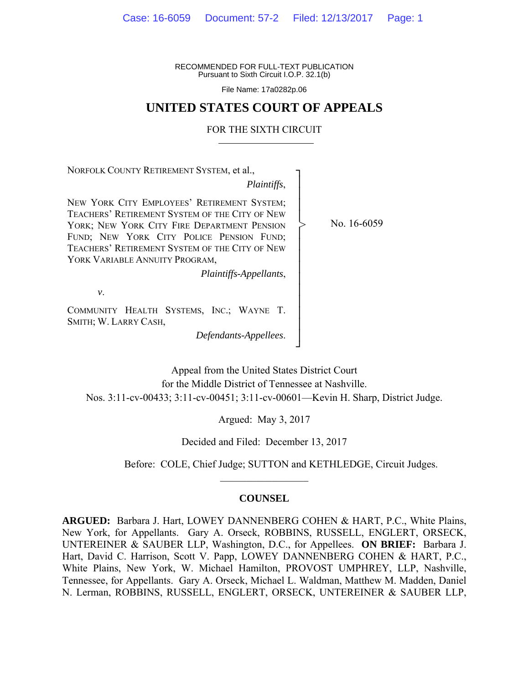RECOMMENDED FOR FULL-TEXT PUBLICATION Pursuant to Sixth Circuit I.O.P. 32.1(b)

File Name: 17a0282p.06

## **UNITED STATES COURT OF APPEALS**

#### FOR THE SIXTH CIRCUIT

NORFOLK COUNTY RETIREMENT SYSTEM, et al.,

*Plaintiffs*,

┐ │ │ │ │ │ │ │ │ │ │ │ │ │ │ ┘

>

NEW YORK CITY EMPLOYEES' RETIREMENT SYSTEM; TEACHERS' RETIREMENT SYSTEM OF THE CITY OF NEW YORK: NEW YORK CITY FIRE DEPARTMENT PENSION FUND; NEW YORK CITY POLICE PENSION FUND; TEACHERS' RETIREMENT SYSTEM OF THE CITY OF NEW YORK VARIABLE ANNUITY PROGRAM,

*Plaintiffs-Appellants*,

*v*.

COMMUNITY HEALTH SYSTEMS, INC.; WAYNE T. SMITH; W. LARRY CASH,

*Defendants-Appellees*.

No. 16-6059

Appeal from the United States District Court for the Middle District of Tennessee at Nashville. Nos. 3:11-cv-00433; 3:11-cv-00451; 3:11-cv-00601—Kevin H. Sharp, District Judge.

Argued: May 3, 2017

Decided and Filed: December 13, 2017

Before: COLE, Chief Judge; SUTTON and KETHLEDGE, Circuit Judges.

## **COUNSEL**

 $\frac{1}{2}$  ,  $\frac{1}{2}$  ,  $\frac{1}{2}$  ,  $\frac{1}{2}$  ,  $\frac{1}{2}$  ,  $\frac{1}{2}$  ,  $\frac{1}{2}$  ,  $\frac{1}{2}$  ,  $\frac{1}{2}$ 

**ARGUED:** Barbara J. Hart, LOWEY DANNENBERG COHEN & HART, P.C., White Plains, New York, for Appellants. Gary A. Orseck, ROBBINS, RUSSELL, ENGLERT, ORSECK, UNTEREINER & SAUBER LLP, Washington, D.C., for Appellees. **ON BRIEF:** Barbara J. Hart, David C. Harrison, Scott V. Papp, LOWEY DANNENBERG COHEN & HART, P.C., White Plains, New York, W. Michael Hamilton, PROVOST UMPHREY, LLP, Nashville, Tennessee, for Appellants. Gary A. Orseck, Michael L. Waldman, Matthew M. Madden, Daniel N. Lerman, ROBBINS, RUSSELL, ENGLERT, ORSECK, UNTEREINER & SAUBER LLP,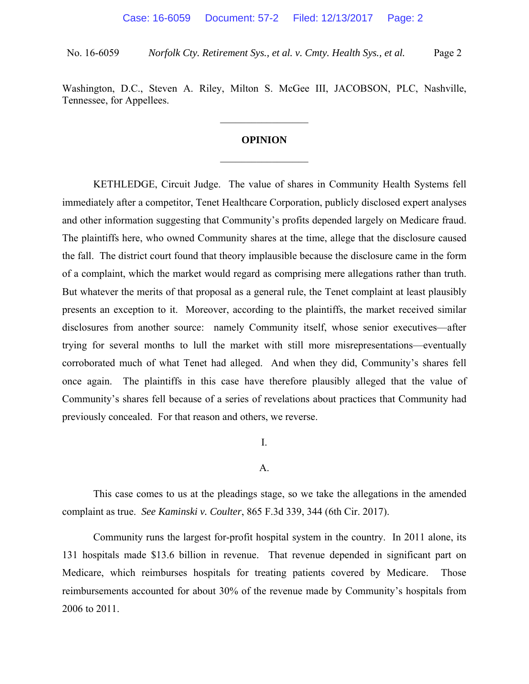Washington, D.C., Steven A. Riley, Milton S. McGee III, JACOBSON, PLC, Nashville, Tennessee, for Appellees.

 $\frac{1}{2}$ 

# **OPINION**   $\frac{1}{2}$

 KETHLEDGE, Circuit Judge. The value of shares in Community Health Systems fell immediately after a competitor, Tenet Healthcare Corporation, publicly disclosed expert analyses and other information suggesting that Community's profits depended largely on Medicare fraud. The plaintiffs here, who owned Community shares at the time, allege that the disclosure caused the fall. The district court found that theory implausible because the disclosure came in the form of a complaint, which the market would regard as comprising mere allegations rather than truth. But whatever the merits of that proposal as a general rule, the Tenet complaint at least plausibly presents an exception to it. Moreover, according to the plaintiffs, the market received similar disclosures from another source: namely Community itself, whose senior executives—after trying for several months to lull the market with still more misrepresentations—eventually corroborated much of what Tenet had alleged. And when they did, Community's shares fell once again. The plaintiffs in this case have therefore plausibly alleged that the value of Community's shares fell because of a series of revelations about practices that Community had previously concealed. For that reason and others, we reverse.

I.

A.

 This case comes to us at the pleadings stage, so we take the allegations in the amended complaint as true. *See Kaminski v. Coulter*, 865 F.3d 339, 344 (6th Cir. 2017).

Community runs the largest for-profit hospital system in the country. In 2011 alone, its 131 hospitals made \$13.6 billion in revenue. That revenue depended in significant part on Medicare, which reimburses hospitals for treating patients covered by Medicare. Those reimbursements accounted for about 30% of the revenue made by Community's hospitals from 2006 to 2011.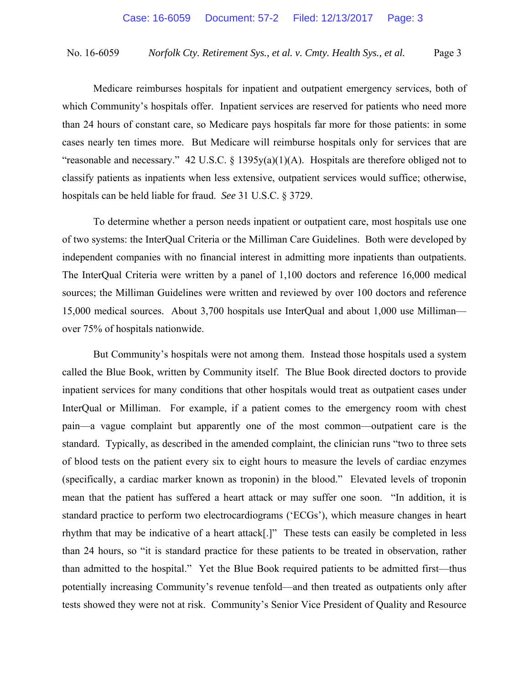Medicare reimburses hospitals for inpatient and outpatient emergency services, both of which Community's hospitals offer. Inpatient services are reserved for patients who need more than 24 hours of constant care, so Medicare pays hospitals far more for those patients: in some cases nearly ten times more. But Medicare will reimburse hospitals only for services that are "reasonable and necessary." 42 U.S.C.  $\S$  1395y(a)(1)(A). Hospitals are therefore obliged not to classify patients as inpatients when less extensive, outpatient services would suffice; otherwise, hospitals can be held liable for fraud. *See* 31 U.S.C. § 3729.

 To determine whether a person needs inpatient or outpatient care, most hospitals use one of two systems: the InterQual Criteria or the Milliman Care Guidelines. Both were developed by independent companies with no financial interest in admitting more inpatients than outpatients. The InterQual Criteria were written by a panel of 1,100 doctors and reference 16,000 medical sources; the Milliman Guidelines were written and reviewed by over 100 doctors and reference 15,000 medical sources. About 3,700 hospitals use InterQual and about 1,000 use Milliman over 75% of hospitals nationwide.

 But Community's hospitals were not among them. Instead those hospitals used a system called the Blue Book, written by Community itself. The Blue Book directed doctors to provide inpatient services for many conditions that other hospitals would treat as outpatient cases under InterQual or Milliman. For example, if a patient comes to the emergency room with chest pain—a vague complaint but apparently one of the most common—outpatient care is the standard. Typically, as described in the amended complaint, the clinician runs "two to three sets of blood tests on the patient every six to eight hours to measure the levels of cardiac enzymes (specifically, a cardiac marker known as troponin) in the blood." Elevated levels of troponin mean that the patient has suffered a heart attack or may suffer one soon. "In addition, it is standard practice to perform two electrocardiograms ('ECGs'), which measure changes in heart rhythm that may be indicative of a heart attack[.]" These tests can easily be completed in less than 24 hours, so "it is standard practice for these patients to be treated in observation, rather than admitted to the hospital." Yet the Blue Book required patients to be admitted first—thus potentially increasing Community's revenue tenfold—and then treated as outpatients only after tests showed they were not at risk. Community's Senior Vice President of Quality and Resource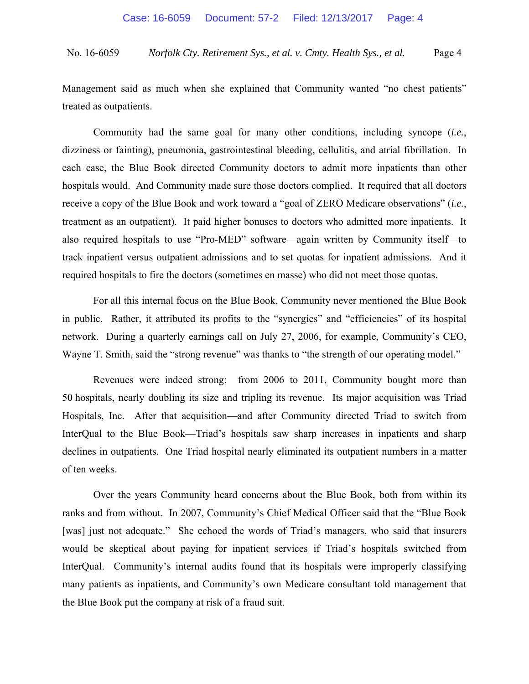Management said as much when she explained that Community wanted "no chest patients" treated as outpatients.

 Community had the same goal for many other conditions, including syncope (*i.e.*, dizziness or fainting), pneumonia, gastrointestinal bleeding, cellulitis, and atrial fibrillation. In each case, the Blue Book directed Community doctors to admit more inpatients than other hospitals would. And Community made sure those doctors complied. It required that all doctors receive a copy of the Blue Book and work toward a "goal of ZERO Medicare observations" (*i.e.*, treatment as an outpatient). It paid higher bonuses to doctors who admitted more inpatients. It also required hospitals to use "Pro-MED" software—again written by Community itself—to track inpatient versus outpatient admissions and to set quotas for inpatient admissions. And it required hospitals to fire the doctors (sometimes en masse) who did not meet those quotas.

 For all this internal focus on the Blue Book, Community never mentioned the Blue Book in public. Rather, it attributed its profits to the "synergies" and "efficiencies" of its hospital network. During a quarterly earnings call on July 27, 2006, for example, Community's CEO, Wayne T. Smith, said the "strong revenue" was thanks to "the strength of our operating model."

Revenues were indeed strong: from 2006 to 2011, Community bought more than 50 hospitals, nearly doubling its size and tripling its revenue. Its major acquisition was Triad Hospitals, Inc. After that acquisition—and after Community directed Triad to switch from InterQual to the Blue Book—Triad's hospitals saw sharp increases in inpatients and sharp declines in outpatients. One Triad hospital nearly eliminated its outpatient numbers in a matter of ten weeks.

Over the years Community heard concerns about the Blue Book, both from within its ranks and from without. In 2007, Community's Chief Medical Officer said that the "Blue Book [was] just not adequate." She echoed the words of Triad's managers, who said that insurers would be skeptical about paying for inpatient services if Triad's hospitals switched from InterQual. Community's internal audits found that its hospitals were improperly classifying many patients as inpatients, and Community's own Medicare consultant told management that the Blue Book put the company at risk of a fraud suit.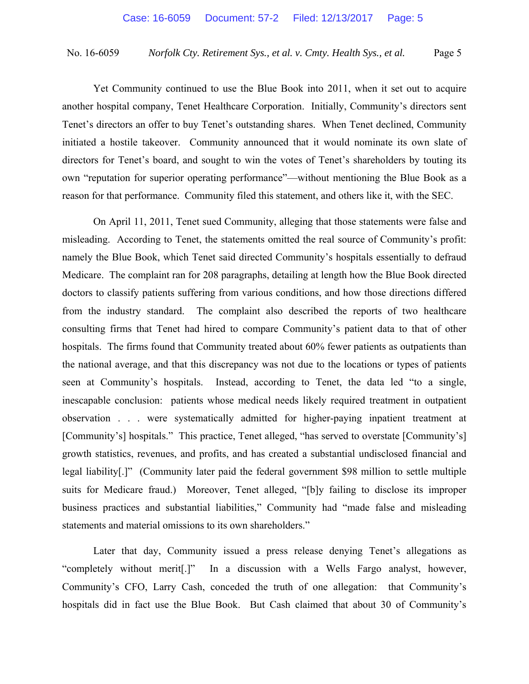Yet Community continued to use the Blue Book into 2011, when it set out to acquire another hospital company, Tenet Healthcare Corporation. Initially, Community's directors sent Tenet's directors an offer to buy Tenet's outstanding shares. When Tenet declined, Community initiated a hostile takeover. Community announced that it would nominate its own slate of directors for Tenet's board, and sought to win the votes of Tenet's shareholders by touting its own "reputation for superior operating performance"—without mentioning the Blue Book as a reason for that performance. Community filed this statement, and others like it, with the SEC.

On April 11, 2011, Tenet sued Community, alleging that those statements were false and misleading. According to Tenet, the statements omitted the real source of Community's profit: namely the Blue Book, which Tenet said directed Community's hospitals essentially to defraud Medicare. The complaint ran for 208 paragraphs, detailing at length how the Blue Book directed doctors to classify patients suffering from various conditions, and how those directions differed from the industry standard. The complaint also described the reports of two healthcare consulting firms that Tenet had hired to compare Community's patient data to that of other hospitals. The firms found that Community treated about 60% fewer patients as outpatients than the national average, and that this discrepancy was not due to the locations or types of patients seen at Community's hospitals. Instead, according to Tenet, the data led "to a single, inescapable conclusion: patients whose medical needs likely required treatment in outpatient observation . . . were systematically admitted for higher-paying inpatient treatment at [Community's] hospitals." This practice, Tenet alleged, "has served to overstate [Community's] growth statistics, revenues, and profits, and has created a substantial undisclosed financial and legal liability[.]" (Community later paid the federal government \$98 million to settle multiple suits for Medicare fraud.) Moreover, Tenet alleged, "[b]y failing to disclose its improper business practices and substantial liabilities," Community had "made false and misleading statements and material omissions to its own shareholders."

Later that day, Community issued a press release denying Tenet's allegations as "completely without merit[.]" In a discussion with a Wells Fargo analyst, however, Community's CFO, Larry Cash, conceded the truth of one allegation: that Community's hospitals did in fact use the Blue Book. But Cash claimed that about 30 of Community's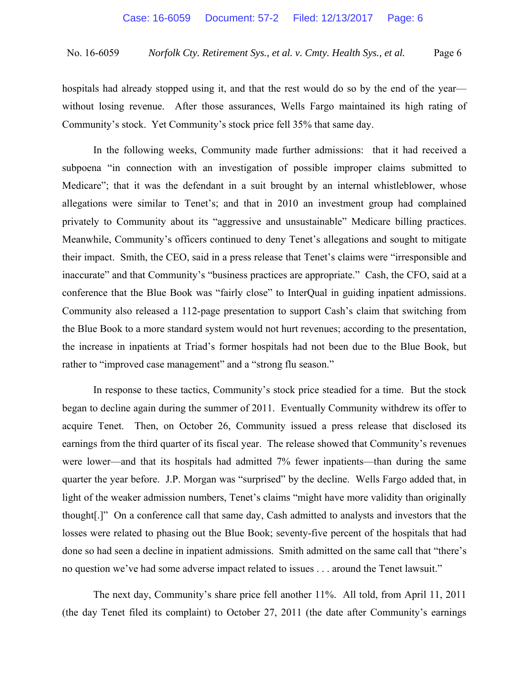hospitals had already stopped using it, and that the rest would do so by the end of the year without losing revenue. After those assurances, Wells Fargo maintained its high rating of Community's stock. Yet Community's stock price fell 35% that same day.

In the following weeks, Community made further admissions: that it had received a subpoena "in connection with an investigation of possible improper claims submitted to Medicare"; that it was the defendant in a suit brought by an internal whistleblower, whose allegations were similar to Tenet's; and that in 2010 an investment group had complained privately to Community about its "aggressive and unsustainable" Medicare billing practices. Meanwhile, Community's officers continued to deny Tenet's allegations and sought to mitigate their impact. Smith, the CEO, said in a press release that Tenet's claims were "irresponsible and inaccurate" and that Community's "business practices are appropriate." Cash, the CFO, said at a conference that the Blue Book was "fairly close" to InterQual in guiding inpatient admissions. Community also released a 112-page presentation to support Cash's claim that switching from the Blue Book to a more standard system would not hurt revenues; according to the presentation, the increase in inpatients at Triad's former hospitals had not been due to the Blue Book, but rather to "improved case management" and a "strong flu season."

In response to these tactics, Community's stock price steadied for a time. But the stock began to decline again during the summer of 2011. Eventually Community withdrew its offer to acquire Tenet. Then, on October 26, Community issued a press release that disclosed its earnings from the third quarter of its fiscal year. The release showed that Community's revenues were lower—and that its hospitals had admitted 7% fewer inpatients—than during the same quarter the year before. J.P. Morgan was "surprised" by the decline. Wells Fargo added that, in light of the weaker admission numbers, Tenet's claims "might have more validity than originally thought[.]" On a conference call that same day, Cash admitted to analysts and investors that the losses were related to phasing out the Blue Book; seventy-five percent of the hospitals that had done so had seen a decline in inpatient admissions. Smith admitted on the same call that "there's no question we've had some adverse impact related to issues . . . around the Tenet lawsuit."

The next day, Community's share price fell another 11%. All told, from April 11, 2011 (the day Tenet filed its complaint) to October 27, 2011 (the date after Community's earnings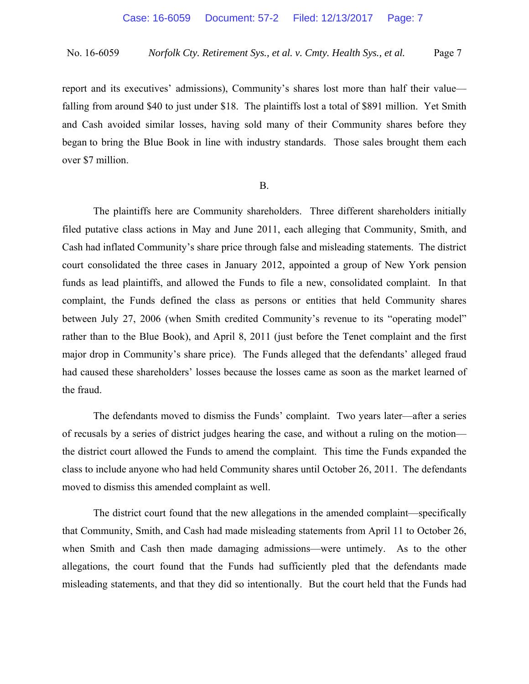report and its executives' admissions), Community's shares lost more than half their value falling from around \$40 to just under \$18. The plaintiffs lost a total of \$891 million. Yet Smith and Cash avoided similar losses, having sold many of their Community shares before they began to bring the Blue Book in line with industry standards. Those sales brought them each over \$7 million.

#### B.

 The plaintiffs here are Community shareholders. Three different shareholders initially filed putative class actions in May and June 2011, each alleging that Community, Smith, and Cash had inflated Community's share price through false and misleading statements. The district court consolidated the three cases in January 2012, appointed a group of New York pension funds as lead plaintiffs, and allowed the Funds to file a new, consolidated complaint. In that complaint, the Funds defined the class as persons or entities that held Community shares between July 27, 2006 (when Smith credited Community's revenue to its "operating model" rather than to the Blue Book), and April 8, 2011 (just before the Tenet complaint and the first major drop in Community's share price). The Funds alleged that the defendants' alleged fraud had caused these shareholders' losses because the losses came as soon as the market learned of the fraud.

 The defendants moved to dismiss the Funds' complaint. Two years later—after a series of recusals by a series of district judges hearing the case, and without a ruling on the motion the district court allowed the Funds to amend the complaint. This time the Funds expanded the class to include anyone who had held Community shares until October 26, 2011. The defendants moved to dismiss this amended complaint as well.

The district court found that the new allegations in the amended complaint—specifically that Community, Smith, and Cash had made misleading statements from April 11 to October 26, when Smith and Cash then made damaging admissions—were untimely. As to the other allegations, the court found that the Funds had sufficiently pled that the defendants made misleading statements, and that they did so intentionally. But the court held that the Funds had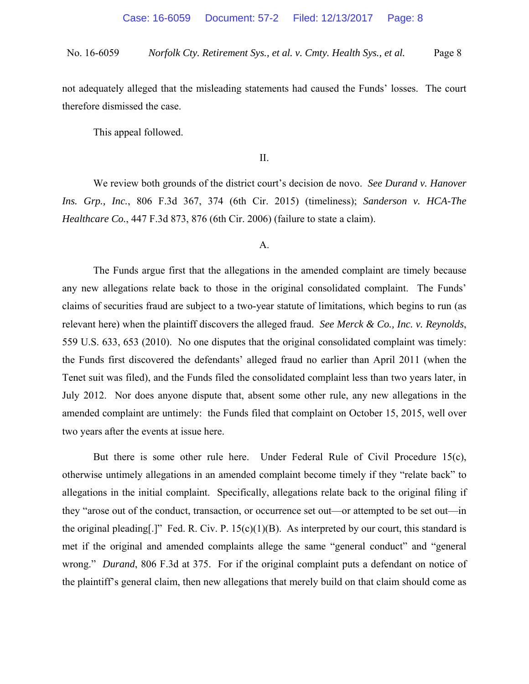not adequately alleged that the misleading statements had caused the Funds' losses. The court therefore dismissed the case.

This appeal followed.

II.

 We review both grounds of the district court's decision de novo. *See Durand v. Hanover Ins. Grp., Inc.*, 806 F.3d 367, 374 (6th Cir. 2015) (timeliness); *Sanderson v. HCA-The Healthcare Co.*, 447 F.3d 873, 876 (6th Cir. 2006) (failure to state a claim).

## A.

 The Funds argue first that the allegations in the amended complaint are timely because any new allegations relate back to those in the original consolidated complaint. The Funds' claims of securities fraud are subject to a two-year statute of limitations, which begins to run (as relevant here) when the plaintiff discovers the alleged fraud. *See Merck & Co., Inc. v. Reynolds*, 559 U.S. 633, 653 (2010). No one disputes that the original consolidated complaint was timely: the Funds first discovered the defendants' alleged fraud no earlier than April 2011 (when the Tenet suit was filed), and the Funds filed the consolidated complaint less than two years later, in July 2012. Nor does anyone dispute that, absent some other rule, any new allegations in the amended complaint are untimely: the Funds filed that complaint on October 15, 2015, well over two years after the events at issue here.

 But there is some other rule here. Under Federal Rule of Civil Procedure 15(c), otherwise untimely allegations in an amended complaint become timely if they "relate back" to allegations in the initial complaint. Specifically, allegations relate back to the original filing if they "arose out of the conduct, transaction, or occurrence set out—or attempted to be set out—in the original pleading[.]" Fed. R. Civ. P.  $15(c)(1)(B)$ . As interpreted by our court, this standard is met if the original and amended complaints allege the same "general conduct" and "general wrong." *Durand*, 806 F.3d at 375. For if the original complaint puts a defendant on notice of the plaintiff's general claim, then new allegations that merely build on that claim should come as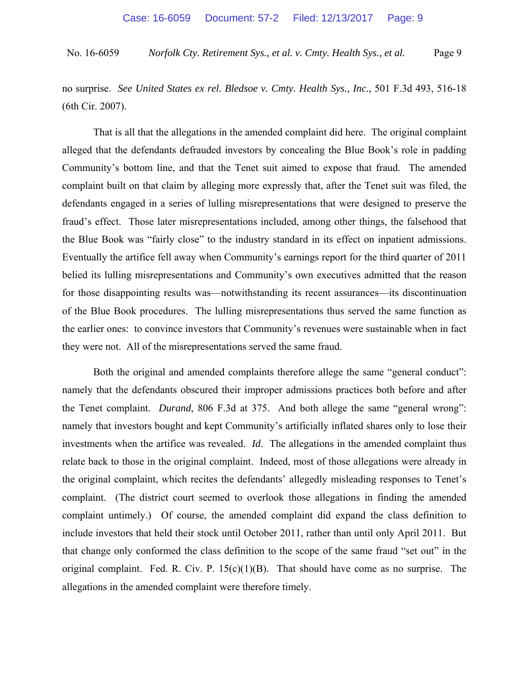no surprise. *See United States ex rel. Bledsoe v. Cmty. Health Sys., Inc.*, 501 F.3d 493, 516-18 (6th Cir. 2007).

 That is all that the allegations in the amended complaint did here. The original complaint alleged that the defendants defrauded investors by concealing the Blue Book's role in padding Community's bottom line, and that the Tenet suit aimed to expose that fraud. The amended complaint built on that claim by alleging more expressly that, after the Tenet suit was filed, the defendants engaged in a series of lulling misrepresentations that were designed to preserve the fraud's effect. Those later misrepresentations included, among other things, the falsehood that the Blue Book was "fairly close" to the industry standard in its effect on inpatient admissions. Eventually the artifice fell away when Community's earnings report for the third quarter of 2011 belied its lulling misrepresentations and Community's own executives admitted that the reason for those disappointing results was—notwithstanding its recent assurances—its discontinuation of the Blue Book procedures. The lulling misrepresentations thus served the same function as the earlier ones: to convince investors that Community's revenues were sustainable when in fact they were not. All of the misrepresentations served the same fraud.

Both the original and amended complaints therefore allege the same "general conduct": namely that the defendants obscured their improper admissions practices both before and after the Tenet complaint. *Durand*, 806 F.3d at 375. And both allege the same "general wrong": namely that investors bought and kept Community's artificially inflated shares only to lose their investments when the artifice was revealed. *Id*. The allegations in the amended complaint thus relate back to those in the original complaint. Indeed, most of those allegations were already in the original complaint, which recites the defendants' allegedly misleading responses to Tenet's complaint. (The district court seemed to overlook those allegations in finding the amended complaint untimely.) Of course, the amended complaint did expand the class definition to include investors that held their stock until October 2011, rather than until only April 2011. But that change only conformed the class definition to the scope of the same fraud "set out" in the original complaint. Fed. R. Civ. P.  $15(c)(1)(B)$ . That should have come as no surprise. The allegations in the amended complaint were therefore timely.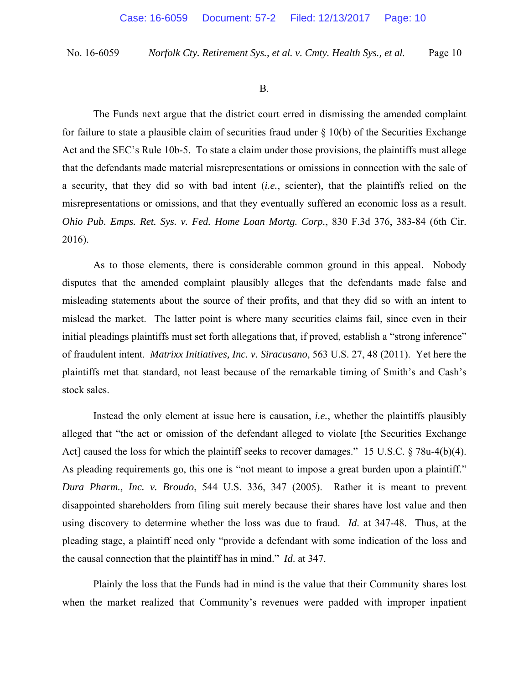B.

 The Funds next argue that the district court erred in dismissing the amended complaint for failure to state a plausible claim of securities fraud under  $\S$  10(b) of the Securities Exchange Act and the SEC's Rule 10b-5. To state a claim under those provisions, the plaintiffs must allege that the defendants made material misrepresentations or omissions in connection with the sale of a security, that they did so with bad intent (*i.e.*, scienter), that the plaintiffs relied on the misrepresentations or omissions, and that they eventually suffered an economic loss as a result. *Ohio Pub. Emps. Ret. Sys. v. Fed. Home Loan Mortg. Corp.*, 830 F.3d 376, 383-84 (6th Cir. 2016).

As to those elements, there is considerable common ground in this appeal. Nobody disputes that the amended complaint plausibly alleges that the defendants made false and misleading statements about the source of their profits, and that they did so with an intent to mislead the market. The latter point is where many securities claims fail, since even in their initial pleadings plaintiffs must set forth allegations that, if proved, establish a "strong inference" of fraudulent intent. *Matrixx Initiatives, Inc. v. Siracusano*, 563 U.S. 27, 48 (2011). Yet here the plaintiffs met that standard, not least because of the remarkable timing of Smith's and Cash's stock sales.

 Instead the only element at issue here is causation, *i.e.*, whether the plaintiffs plausibly alleged that "the act or omission of the defendant alleged to violate [the Securities Exchange Act] caused the loss for which the plaintiff seeks to recover damages." 15 U.S.C. § 78u-4(b)(4). As pleading requirements go, this one is "not meant to impose a great burden upon a plaintiff." *Dura Pharm., Inc. v. Broudo*, 544 U.S. 336, 347 (2005). Rather it is meant to prevent disappointed shareholders from filing suit merely because their shares have lost value and then using discovery to determine whether the loss was due to fraud. *Id*. at 347-48. Thus, at the pleading stage, a plaintiff need only "provide a defendant with some indication of the loss and the causal connection that the plaintiff has in mind." *Id*. at 347.

 Plainly the loss that the Funds had in mind is the value that their Community shares lost when the market realized that Community's revenues were padded with improper inpatient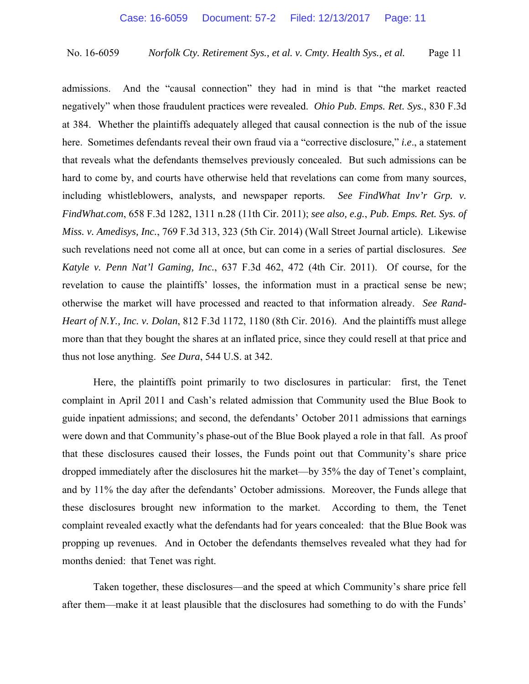admissions. And the "causal connection" they had in mind is that "the market reacted negatively" when those fraudulent practices were revealed. *Ohio Pub. Emps. Ret. Sys.*, 830 F.3d at 384. Whether the plaintiffs adequately alleged that causal connection is the nub of the issue here. Sometimes defendants reveal their own fraud via a "corrective disclosure," *i.e*., a statement that reveals what the defendants themselves previously concealed. But such admissions can be hard to come by, and courts have otherwise held that revelations can come from many sources, including whistleblowers, analysts, and newspaper reports. *See FindWhat Inv'r Grp. v. FindWhat.com*, 658 F.3d 1282, 1311 n.28 (11th Cir. 2011); *see also, e.g.*, *Pub. Emps. Ret. Sys. of Miss. v. Amedisys, Inc.*, 769 F.3d 313, 323 (5th Cir. 2014) (Wall Street Journal article). Likewise such revelations need not come all at once, but can come in a series of partial disclosures. *See Katyle v. Penn Nat'l Gaming, Inc.*, 637 F.3d 462, 472 (4th Cir. 2011). Of course, for the revelation to cause the plaintiffs' losses, the information must in a practical sense be new; otherwise the market will have processed and reacted to that information already. *See Rand-Heart of N.Y., Inc. v. Dolan*, 812 F.3d 1172, 1180 (8th Cir. 2016). And the plaintiffs must allege more than that they bought the shares at an inflated price, since they could resell at that price and thus not lose anything. *See Dura*, 544 U.S. at 342.

Here, the plaintiffs point primarily to two disclosures in particular: first, the Tenet complaint in April 2011 and Cash's related admission that Community used the Blue Book to guide inpatient admissions; and second, the defendants' October 2011 admissions that earnings were down and that Community's phase-out of the Blue Book played a role in that fall. As proof that these disclosures caused their losses, the Funds point out that Community's share price dropped immediately after the disclosures hit the market—by 35% the day of Tenet's complaint, and by 11% the day after the defendants' October admissions. Moreover, the Funds allege that these disclosures brought new information to the market. According to them, the Tenet complaint revealed exactly what the defendants had for years concealed: that the Blue Book was propping up revenues. And in October the defendants themselves revealed what they had for months denied: that Tenet was right.

Taken together, these disclosures—and the speed at which Community's share price fell after them—make it at least plausible that the disclosures had something to do with the Funds'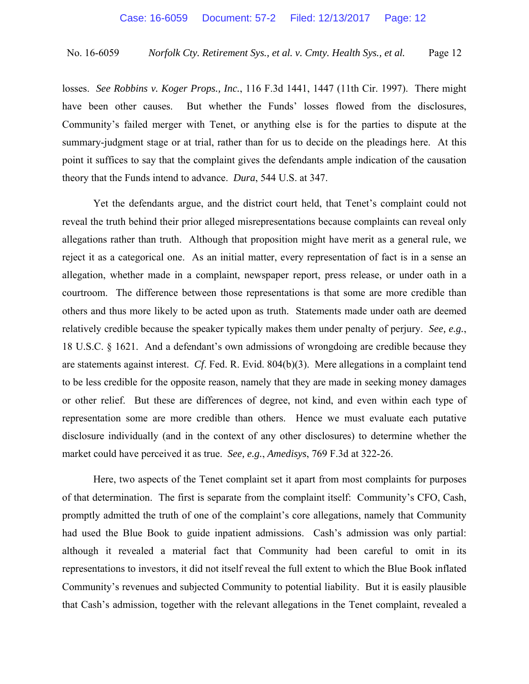losses. *See Robbins v. Koger Props., Inc.*, 116 F.3d 1441, 1447 (11th Cir. 1997). There might have been other causes. But whether the Funds' losses flowed from the disclosures, Community's failed merger with Tenet, or anything else is for the parties to dispute at the summary-judgment stage or at trial, rather than for us to decide on the pleadings here. At this point it suffices to say that the complaint gives the defendants ample indication of the causation theory that the Funds intend to advance. *Dura*, 544 U.S. at 347.

 Yet the defendants argue, and the district court held, that Tenet's complaint could not reveal the truth behind their prior alleged misrepresentations because complaints can reveal only allegations rather than truth. Although that proposition might have merit as a general rule, we reject it as a categorical one. As an initial matter, every representation of fact is in a sense an allegation, whether made in a complaint, newspaper report, press release, or under oath in a courtroom. The difference between those representations is that some are more credible than others and thus more likely to be acted upon as truth. Statements made under oath are deemed relatively credible because the speaker typically makes them under penalty of perjury. *See, e.g.*, 18 U.S.C. § 1621. And a defendant's own admissions of wrongdoing are credible because they are statements against interest. *Cf*. Fed. R. Evid. 804(b)(3). Mere allegations in a complaint tend to be less credible for the opposite reason, namely that they are made in seeking money damages or other relief. But these are differences of degree, not kind, and even within each type of representation some are more credible than others. Hence we must evaluate each putative disclosure individually (and in the context of any other disclosures) to determine whether the market could have perceived it as true. *See, e.g.*, *Amedisys*, 769 F.3d at 322-26.

 Here, two aspects of the Tenet complaint set it apart from most complaints for purposes of that determination. The first is separate from the complaint itself: Community's CFO, Cash, promptly admitted the truth of one of the complaint's core allegations, namely that Community had used the Blue Book to guide inpatient admissions. Cash's admission was only partial: although it revealed a material fact that Community had been careful to omit in its representations to investors, it did not itself reveal the full extent to which the Blue Book inflated Community's revenues and subjected Community to potential liability. But it is easily plausible that Cash's admission, together with the relevant allegations in the Tenet complaint, revealed a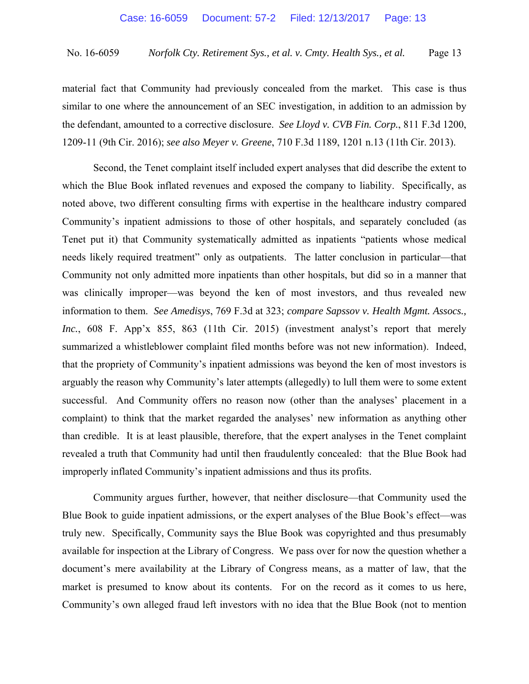material fact that Community had previously concealed from the market. This case is thus similar to one where the announcement of an SEC investigation, in addition to an admission by the defendant, amounted to a corrective disclosure. *See Lloyd v. CVB Fin. Corp.*, 811 F.3d 1200, 1209-11 (9th Cir. 2016); *see also Meyer v. Greene*, 710 F.3d 1189, 1201 n.13 (11th Cir. 2013).

 Second, the Tenet complaint itself included expert analyses that did describe the extent to which the Blue Book inflated revenues and exposed the company to liability. Specifically, as noted above, two different consulting firms with expertise in the healthcare industry compared Community's inpatient admissions to those of other hospitals, and separately concluded (as Tenet put it) that Community systematically admitted as inpatients "patients whose medical needs likely required treatment" only as outpatients. The latter conclusion in particular—that Community not only admitted more inpatients than other hospitals, but did so in a manner that was clinically improper—was beyond the ken of most investors, and thus revealed new information to them. *See Amedisys*, 769 F.3d at 323; *compare Sapssov v. Health Mgmt. Assocs., Inc.*, 608 F. App'x 855, 863 (11th Cir. 2015) (investment analyst's report that merely summarized a whistleblower complaint filed months before was not new information). Indeed, that the propriety of Community's inpatient admissions was beyond the ken of most investors is arguably the reason why Community's later attempts (allegedly) to lull them were to some extent successful. And Community offers no reason now (other than the analyses' placement in a complaint) to think that the market regarded the analyses' new information as anything other than credible. It is at least plausible, therefore, that the expert analyses in the Tenet complaint revealed a truth that Community had until then fraudulently concealed: that the Blue Book had improperly inflated Community's inpatient admissions and thus its profits.

 Community argues further, however, that neither disclosure—that Community used the Blue Book to guide inpatient admissions, or the expert analyses of the Blue Book's effect—was truly new. Specifically, Community says the Blue Book was copyrighted and thus presumably available for inspection at the Library of Congress. We pass over for now the question whether a document's mere availability at the Library of Congress means, as a matter of law, that the market is presumed to know about its contents. For on the record as it comes to us here, Community's own alleged fraud left investors with no idea that the Blue Book (not to mention